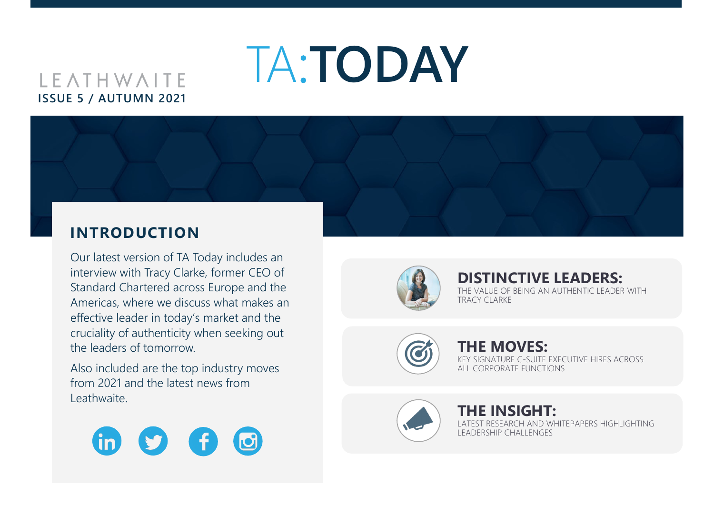# **LEATHWAITE ISSUE 5 / AUTUMN 2021**

## **INTRODUCTION**

Our latest version of TA Today includes an interview with Tracy Clarke, former CEO of Standard Chartered across Europe and the Americas, where we discuss what makes an effective leader in today's market and the cruciality of authenticity when seeking out the leaders of tomorrow.

Also included are the top industry moves from 2021 and the latest news from Leathwaite.





TA:**TODAY**

# **[DISTINCTIVE LEADERS:](#page-1-0)**

THE VALUE OF BEING AN AUTHENTIC LEADER WITH TRACY CLARKE



#### **[THE MOVES:](#page-3-0)** KEY SIGNATURE C-SUITE EXECUTIVE HIRES ACROSS ALL CORPORATE FUNCTIONS



#### **THE INSIGHT:** LATEST RESEARCH AND WHITEPAPERS HIGHLIGHTING LEADERSHIP CHALLENGES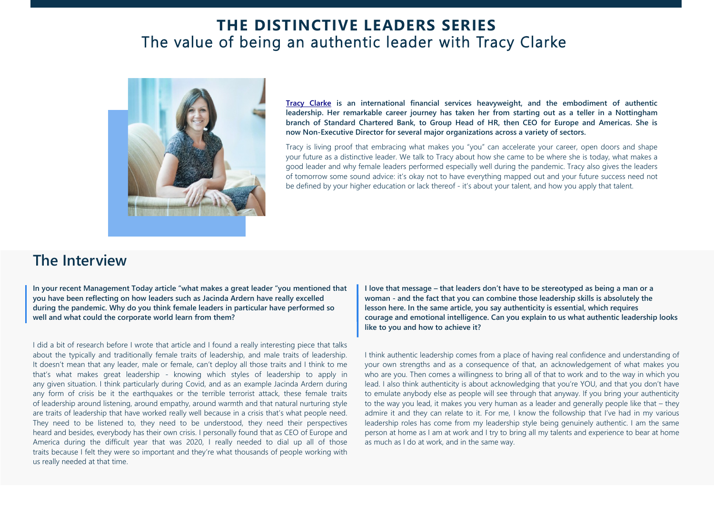### **THE DISTINCTIVE LEADERS SERIES** The value of being an authentic leader with Tracy Clarke

<span id="page-1-0"></span>

**[Tracy Clarke](https://www.linkedin.com/in/tracy-clarke-6b850476/) is an international financial services heavyweight, and the embodiment of authentic leadership. Her remarkable career journey has taken her from starting out as a teller in a Nottingham branch of Standard Chartered Bank, to Group Head of HR, then CEO for Europe and Americas. She is now Non-Executive Director for several major organizations across a variety of sectors.**

Tracy is living proof that embracing what makes you "you" can accelerate your career, open doors and shape your future as a distinctive leader. We talk to Tracy about how she came to be where she is today, what makes a good leader and why female leaders performed especially well during the pandemic. Tracy also gives the leaders of tomorrow some sound advice: it's okay not to have everything mapped out and your future success need not be defined by your higher education or lack thereof - it's about your talent, and how you apply that talent.

### **The Interview**

**In your recent Management Today article "what makes a great leader "you mentioned that you have been reflecting on how leaders such as Jacinda Ardern have really excelled during the pandemic. Why do you think female leaders in particular have performed so well and what could the corporate world learn from them?**

I did a bit of research before I wrote that article and I found a really interesting piece that talks about the typically and traditionally female traits of leadership, and male traits of leadership. It doesn't mean that any leader, male or female, can't deploy all those traits and I think to me that's what makes great leadership - knowing which styles of leadership to apply in any given situation. I think particularly during Covid, and as an example Jacinda Ardern during any form of crisis be it the earthquakes or the terrible terrorist attack, these female traits of leadership around listening, around empathy, around warmth and that natural nurturing style are traits of leadership that have worked really well because in a crisis that's what people need. They need to be listened to, they need to be understood, they need their perspectives heard and besides, everybody has their own crisis. I personally found that as CEO of Europe and America during the difficult year that was 2020, I really needed to dial up all of those traits because I felt they were so important and they're what thousands of people working with us really needed at that time.

**I love that message – that leaders don't have to be stereotyped as being a man or a woman - and the fact that you can combine those leadership skills is absolutely the lesson here. In the same article, you say authenticity is essential, which requires courage and emotional intelligence. Can you explain to us what authentic leadership looks like to you and how to achieve it?**

I think authentic leadership comes from a place of having real confidence and understanding of your own strengths and as a consequence of that, an acknowledgement of what makes you who are you. Then comes a willingness to bring all of that to work and to the way in which you lead. I also think authenticity is about acknowledging that you're YOU, and that you don't have to emulate anybody else as people will see through that anyway. If you bring your authenticity to the way you lead, it makes you very human as a leader and generally people like that – they admire it and they can relate to it. For me, I know the followship that I've had in my various leadership roles has come from my leadership style being genuinely authentic. I am the same person at home as I am at work and I try to bring all my talents and experience to bear at home as much as I do at work, and in the same way.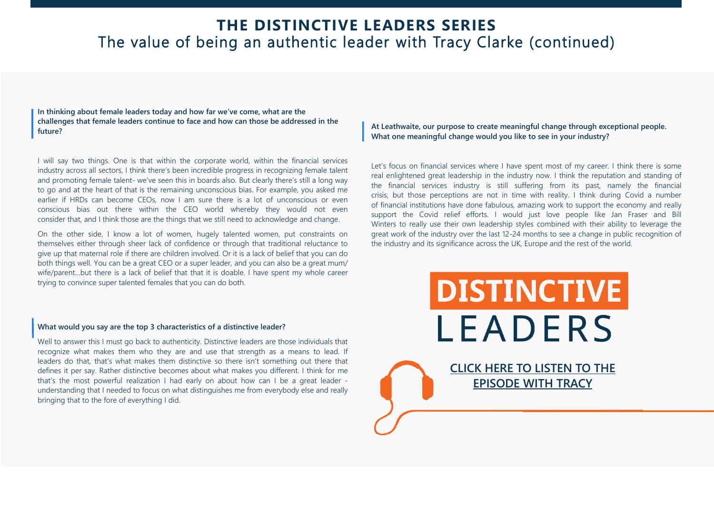### **THE DISTINCTIVE LEADERS SERIES** The value of being an authentic leader with Tracy Clarke (continued)

**In thinking about female leaders today and how far we've come, what are the challenges that female leaders continue to face and how can those be addressed in the future?**

I will say two things. One is that within the corporate world, within the financial services industry across all sectors, I think there's been incredible progress in recognizing female talent and promoting female talent- we've seen this in boards also. But clearly there's still a long way to go and at the heart of that is the remaining unconscious bias. For example, you asked me earlier if HRDs can become CEOs, now I am sure there is a lot of unconscious or even conscious bias out there within the CEO world whereby they would not even consider that, and I think those are the things that we still need to acknowledge and change.

On the other side, I know a lot of women, hugely talented women, put constraints on themselves either through sheer lack of confidence or through that traditional reluctance to give up that maternal role if there are children involved. Or it is a lack of belief that you can do both things well. You can be a great CEO or a super leader, and you can also be a great mum/ wife/parent...but there is a lack of belief that that it is doable. I have spent my whole career trying to convince super talented females that you can do both.

#### **What would you say are the top 3 characteristics of a distinctive leader?**

Well to answer this I must go back to authenticity. Distinctive leaders are those individuals that recognize what makes them who they are and use that strength as a means to lead. If leaders do that, that's what makes them distinctive so there isn't something out there that defines it per say. Rather distinctive becomes about what makes you different. I think for me that's the most powerful realization I had early on about how can I be a great leader understanding that I needed to focus on what distinguishes me from everybody else and really bringing that to the fore of everything I did.

**At Leathwaite, our purpose to create meaningful change through exceptional people. What one meaningful change would you like to see in your industry?**

Let's focus on financial services where I have spent most of my career. I think there is some real enlightened great leadership in the industry now. I think the reputation and standing of the financial services industry is still suffering from its past, namely the financial crisis, but those perceptions are not in time with reality. I think during Covid a number of financial institutions have done fabulous, amazing work to support the economy and really support the Covid relief efforts. I would just love people like Jan Fraser and Bill Winters to really use their own leadership styles combined with their ability to leverage the great work of the industry over the last 12-24 months to see a change in public recognition of the industry and its significance across the UK, Europe and the rest of the world.

**DISTINCTIVE** 

**LEADERS** 

**[CLICK HERE TO LISTEN TO THE](https://www.leathwaite.com/podcast/distinctive-leaders-episode-2-tracy-clarke/)  EPISODE WITH TRACY**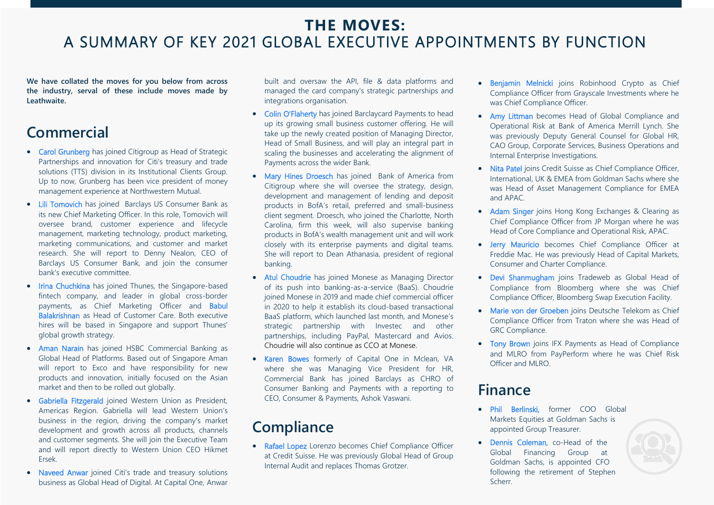### <span id="page-3-0"></span>**THE MOVES:**  A SUMMARY OF KEY 2021 GLOBAL EXECUTIVE APPOINTMENTS BY FUNCTION

**We have collated the moves for you below from across the industry, serval of these include moves made by Leathwaite.** 

## **Commercial**

- Carol Grunberg has joined Citigroup as Head of Strategic Partnerships and innovation for Citi's treasury and trade solutions (TTS) division in its Institutional Clients Group. Up to now, Grunberg has been vice president of money management experience at Northwestern Mutual.
- Lili Tomovich has joined Barclays US Consumer Bank as its new Chief Marketing Officer. In this role, Tomovich will oversee brand, customer experience and lifecycle management, marketing technology, product marketing, marketing communications, and customer and market research. She will report to Denny Nealon, CEO of Barclays US Consumer Bank, and join the consumer bank's executive committee.
- Irina Chuchkina has joined Thunes, the Singapore-based fintech company, and leader in global cross-border payments, as Chief Marketing Officer and Babul Balakrishnan as Head of Customer Care. Both executive hires will be based in Singapore and support Thunes' global growth strategy.
- Aman Narain has joined HSBC Commercial Banking as Global Head of Platforms. Based out of Singapore Aman will report to Exco and have responsibility for new products and innovation, initially focused on the Asian market and then to be rolled out globally.
- Gabriella Fitzgerald joined Western Union as President, Americas Region. Gabriella will lead Western Union's business in the region, driving the company's market development and growth across all products, channels and customer segments. She will join the Executive Team and will report directly to Western Union CEO Hikmet Ersek.
- Naveed Anwar joined Citi's trade and treasury solutions business as Global Head of Digital. At Capital One, Anwar

built and oversaw the API, file & data platforms and managed the card company's strategic partnerships and integrations organisation.

- Colin O'Flaherty has joined Barclaycard Payments to head up its growing small business customer offering. He will take up the newly created position of Managing Director, Head of Small Business, and will play an integral part in scaling the businesses and accelerating the alignment of Payments across the wider Bank.
- Mary Hines Droesch has joined Bank of America from Citigroup where she will oversee the strategy, design, development and management of lending and deposit products in BofA's retail, preferred and small-business client segment. Droesch, who joined the Charlotte, North Carolina, firm this week, will also supervise banking products in BofA's wealth management unit and will work closely with its enterprise payments and digital teams. She will report to Dean Athanasia, president of regional banking.
- Atul Choudrie has joined Monese as Managing Director of its push into banking-as-a-service (BaaS). Choudrie joined Monese in 2019 and made chief commercial officer in 2020 to help it establish its cloud-based transactional BaaS platform, which launched last month, and Monese's strategic partnership with Investec and other partnerships, including PayPal, Mastercard and Avios. Choudrie will also continue as CCO at Monese.
- Karen Bowes formerly of Capital One in Mclean, VA where she was Managing Vice President for HR, Commercial Bank has joined Barclays as CHRO of Consumer Banking and Payments with a reporting to CEO, Consumer & Payments, Ashok Vaswani.

## **Compliance**

• Rafael Lopez Lorenzo becomes Chief Compliance Officer at Credit Suisse. He was previously Global Head of Group Internal Audit and replaces Thomas Grotzer.

- Benjamin Melnicki joins Robinhood Crypto as Chief Compliance Officer from Grayscale Investments where he was Chief Compliance Officer.
- Amy Littman becomes Head of Global Compliance and Operational Risk at Bank of America Merrill Lynch. She was previously Deputy General Counsel for Global HR, CAO Group, Corporate Services, Business Operations and Internal Enterprise Investigations.
- Nita Patel joins Credit Suisse as Chief Compliance Officer, International, UK & EMEA from Goldman Sachs where she was Head of Asset Management Compliance for EMEA and APAC.
- Adam Singer joins Hong Kong Exchanges & Clearing as Chief Compliance Officer from JP Morgan where he was Head of Core Compliance and Operational Risk, APAC.
- Jerry Mauricio becomes Chief Compliance Officer at Freddie Mac. He was previously Head of Capital Markets, Consumer and Charter Compliance.
- Devi Shanmugham joins Tradeweb as Global Head of Compliance from Bloomberg where she was Chief Compliance Officer, Bloomberg Swap Execution Facility.
- Marie von der Groeben joins Deutsche Telekom as Chief Compliance Officer from Traton where she was Head of GRC Compliance.
- Tony Brown joins IFX Payments as Head of Compliance and MLRO from PayPerform where he was Chief Risk Officer and MLRO.

### **Finance**

- Phil Berlinski, former COO Global Markets Equities at Goldman Sachs is appointed Group Treasurer.
- Dennis Coleman, co-Head of the Global Financing Group at Goldman Sachs, is appointed CFO following the retirement of Stephen Scherr.

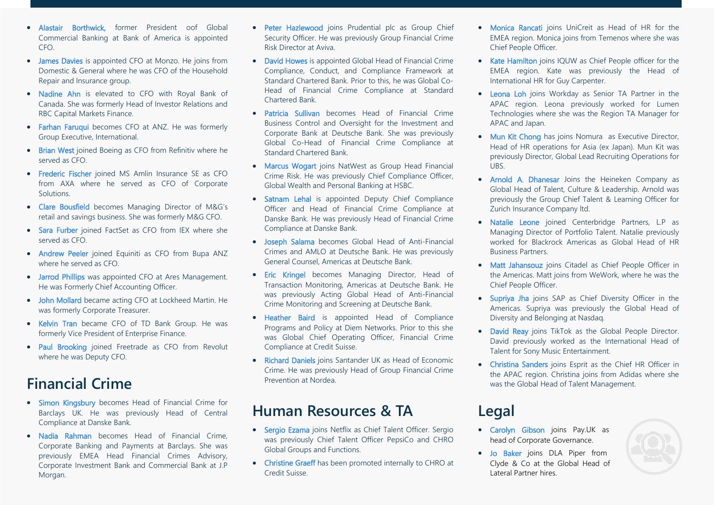- Alastair Borthwick, former President oof Global Commercial Banking at Bank of America is appointed CFO.
- James Davies is appointed CFO at Monzo. He joins from Domestic & General where he was CFO of the Household Repair and Insurance group.
- Nadine Ahn is elevated to CFO with Royal Bank of Canada. She was formerly Head of Investor Relations and RBC Capital Markets Finance.
- Farhan Faruqui becomes CFO at ANZ. He was formerly Group Executive, International.
- Brian West joined Boeing as CFO from Refinitiv where he served as CFO.
- Frederic Fischer joined MS Amlin Insurance SE as CFO from AXA where he served as CFO of Corporate **Solutions**
- Clare Bousfield becomes Managing Director of M&G's retail and savings business. She was formerly M&G CFO.
- Sara Furber joined FactSet as CFO from IEX where she served as CFO.
- Andrew Peeler joined Equiniti as CFO from Bupa ANZ where he served as CFO.
- Jarrod Phillips was appointed CFO at Ares Management. He was Formerly Chief Accounting Officer.
- John Mollard became acting CFO at Lockheed Martin. He was formerly Corporate Treasurer.
- Kelvin Tran became CFO of TD Bank Group. He was formerly Vice President of Enterprise Finance.
- Paul Brooking joined Freetrade as CFO from Revolut where he was Deputy CFO.

### **Financial Crime**

- Simon Kingsbury becomes Head of Financial Crime for Barclays UK. He was previously Head of Central Compliance at Danske Bank.
- Nadia Rahman becomes Head of Financial Crime, Corporate Banking and Payments at Barclays. She was previously EMEA Head Financial Crimes Advisory, Corporate Investment Bank and Commercial Bank at J.P Morgan.
- Peter Hazlewood joins Prudential plc as Group Chief Security Officer. He was previously Group Financial Crime Risk Director at Aviva.
- David Howes is appointed Global Head of Financial Crime Compliance, Conduct, and Compliance Framework at Standard Chartered Bank. Prior to this, he was Global Co-Head of Financial Crime Compliance at Standard Chartered Bank.
- Patricia Sullivan becomes Head of Financial Crime Business Control and Oversight for the Investment and Corporate Bank at Deutsche Bank. She was previously Global Co-Head of Financial Crime Compliance at Standard Chartered Bank.
- Marcus Wogart joins NatWest as Group Head Financial Crime Risk. He was previously Chief Compliance Officer, Global Wealth and Personal Banking at HSBC.
- Satnam Lehal is appointed Deputy Chief Compliance Officer and Head of Financial Crime Compliance at Danske Bank. He was previously Head of Financial Crime Compliance at Danske Bank.
- Joseph Salama becomes Global Head of Anti-Financial Crimes and AMLO at Deutsche Bank. He was previously General Counsel, Americas at Deutsche Bank.
- Eric Kringel becomes Managing Director, Head of Transaction Monitoring, Americas at Deutsche Bank. He was previously Acting Global Head of Anti-Financial Crime Monitoring and Screening at Deutsche Bank.
- Heather Baird is appointed Head of Compliance Programs and Policy at Diem Networks. Prior to this she was Global Chief Operating Officer, Financial Crime Compliance at Credit Suisse.
- Richard Daniels joins Santander UK as Head of Economic Crime. He was previously Head of Group Financial Crime Prevention at Nordea.

### **Human Resources & TA**

- Sergio Ezama joins Netflix as Chief Talent Officer. Sergio was previously Chief Talent Officer PepsiCo and CHRO Global Groups and Functions.
- Christine Graeff has been promoted internally to CHRO at Credit Suisse.
- Monica Rancati joins UniCreit as Head of HR for the EMEA region. Monica joins from Temenos where she was Chief People Officer.
- Kate Hamilton joins IQUW as Chief People officer for the EMEA region. Kate was previously the Head of International HR for Guy Carpenter.
- Leona Loh joins Workday as Senior TA Partner in the APAC region. Leona previously worked for Lumen Technologies where she was the Region TA Manager for APAC and Japan.
- Mun Kit Chong has joins Nomura as Executive Director, Head of HR operations for Asia (ex Japan). Mun Kit was previously Director, Global Lead Recruiting Operations for UBS.
- Arnold A. Dhanesar Joins the Heineken Company as Global Head of Talent, Culture & Leadership. Arnold was previously the Group Chief Talent & Learning Officer for Zurich Insurance Company ltd.
- Natalie Leone joined Centerbridge Partners, L.P as Managing Director of Portfolio Talent. Natalie previously worked for Blackrock Americas as Global Head of HR Business Partners.
- Matt Jahansouz joins Citadel as Chief People Officer in the Americas. Matt joins from WeWork, where he was the Chief People Officer.
- Supriya Jha joins SAP as Chief Diversity Officer in the Americas. Supriya was previously the Global Head of Diversity and Belonging at Nasdaq.
- David Reav joins TikTok as the Global People Director. David previously worked as the International Head of Talent for Sony Music Entertainment.
- Christina Sanders joins Esprit as the Chief HR Officer in the APAC region. Christina joins from Adidas where she was the Global Head of Talent Management.

### **Legal**

- Carolyn Gibson joins Pay.UK as head of Corporate Governance.
- Jo Baker joins DLA Piper from Clyde & Co at the Global Head of Lateral Partner hires.

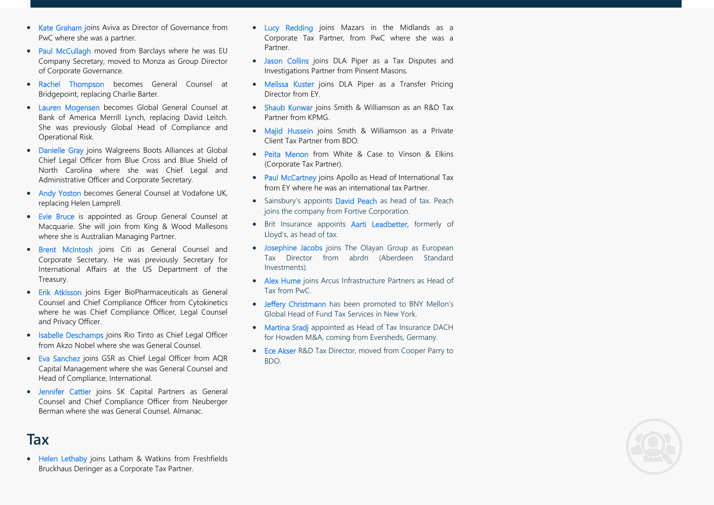- Kate Graham joins Aviva as Director of Governance from PwC where she was a partner.
- Paul McCullagh moved from Barclays where he was EU Company Secretary, moved to Monza as Group Director of Corporate Governance.
- Rachel Thompson becomes General Counsel at Bridgepoint, replacing Charlie Barter.
- Lauren Mogensen becomes Global General Counsel at Bank of America Merrill Lynch, replacing David Leitch. She was previously Global Head of Compliance and Operational Risk.
- Danielle Gray joins Walgreens Boots Alliances at Global Chief Legal Officer from Blue Cross and Blue Shield of North Carolina where she was Chief Legal and Administrative Officer and Corporate Secretary.
- Andy Yoston becomes General Counsel at Vodafone UK, replacing Helen Lamprell.
- Evie Bruce is appointed as Group General Counsel at Macquarie. She will join from King & Wood Mallesons where she is Australian Managing Partner.
- Brent McIntosh joins Citi as General Counsel and Corporate Secretary. He was previously Secretary for International Affairs at the US Department of the Treasury.
- Erik Atkisson joins Eiger BioPharmaceuticals as General Counsel and Chief Compliance Officer from Cytokinetics where he was Chief Compliance Officer, Legal Counsel and Privacy Officer.
- Isabelle Deschamps joins Rio Tinto as Chief Legal Officer from Akzo Nobel where she was General Counsel.
- Eva Sanchez joins GSR as Chief Legal Officer from AQR Capital Management where she was General Counsel and Head of Compliance, International.
- Jennifer Cattier joins SK Capital Partners as General Counsel and Chief Compliance Officer from Neuberger Berman where she was General Counsel, Almanac.
- Lucy Redding joins Mazars in the Midlands as a Corporate Tax Partner, from PwC where she was a Partner.
- Jason Collins joins DLA Piper as a Tax Disputes and Investigations Partner from Pinsent Masons.
- Melissa Kuster joins DLA Piper as a Transfer Pricing Director from EY.
- Shaub Kunwar joins Smith & Williamson as an R&D Tax Partner from KPMG.
- Majid Hussein joins Smith & Williamson as a Private Client Tax Partner from BDO.
- Peita Menon from White & Case to Vinson & Elkins (Corporate Tax Partner).
- Paul McCartney joins Apollo as Head of International Tax from EY where he was an international tax Partner.
- Sainsbury's appoints David Peach as head of tax. Peach joins the company from Fortive Corporation.
- Brit Insurance appoints Aarti Leadbetter, formerly of Lloyd's, as head of tax.
- Josephine Jacobs joins The Olayan Group as European Tax Director from abrdn (Aberdeen Standard Investments).
- Alex Hume joins Arcus Infrastructure Partners as Head of Tax from PwC.
- Jeffery Christmann has been promoted to BNY Mellon's Global Head of Fund Tax Services in New York.
- Martina Sradi appointed as Head of Tax Insurance DACH for Howden M&A, coming from Eversheds, Germany.
- Ece Akser R&D Tax Director, moved from Cooper Parry to BDO.



• Helen Lethaby joins Latham & Watkins from Freshfields Bruckhaus Deringer as a Corporate Tax Partner.